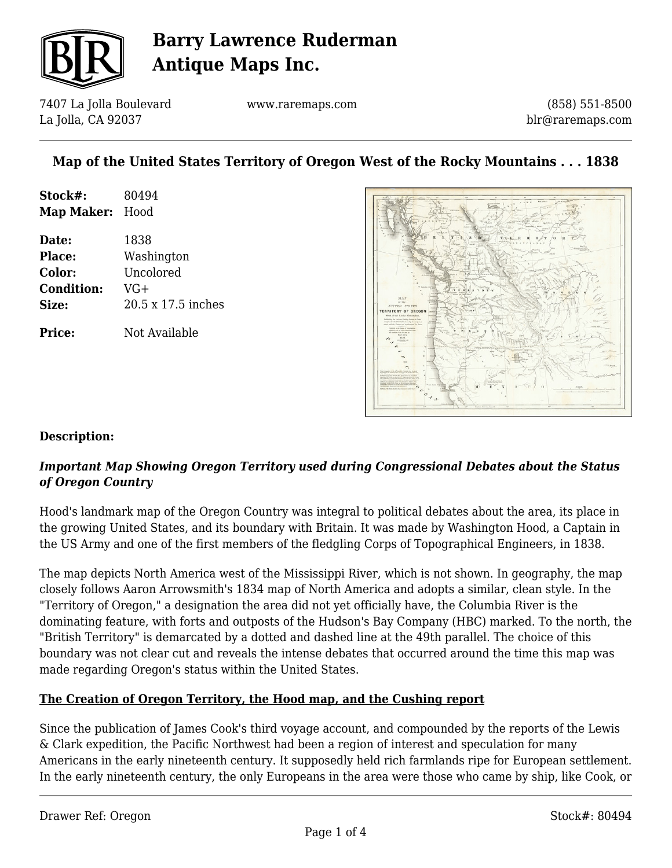

7407 La Jolla Boulevard La Jolla, CA 92037

www.raremaps.com

(858) 551-8500 blr@raremaps.com

## **Map of the United States Territory of Oregon West of the Rocky Mountains . . . 1838**

| Stock#:    | 80494 |
|------------|-------|
| Map Maker: | Hood  |

**Date:** 1838 **Place:** Washington **Color:** Uncolored **Condition:** VG+ **Size:** 20.5 x 17.5 inches

**Price:** Not Available



#### **Description:**

### *Important Map Showing Oregon Territory used during Congressional Debates about the Status of Oregon Country*

Hood's landmark map of the Oregon Country was integral to political debates about the area, its place in the growing United States, and its boundary with Britain. It was made by Washington Hood, a Captain in the US Army and one of the first members of the fledgling Corps of Topographical Engineers, in 1838.

The map depicts North America west of the Mississippi River, which is not shown. In geography, the map closely follows Aaron Arrowsmith's 1834 map of North America and adopts a similar, clean style. In the "Territory of Oregon," a designation the area did not yet officially have, the Columbia River is the dominating feature, with forts and outposts of the Hudson's Bay Company (HBC) marked. To the north, the "British Territory" is demarcated by a dotted and dashed line at the 49th parallel. The choice of this boundary was not clear cut and reveals the intense debates that occurred around the time this map was made regarding Oregon's status within the United States.

#### **The Creation of Oregon Territory, the Hood map, and the Cushing report**

Since the publication of James Cook's third voyage account, and compounded by the reports of the Lewis & Clark expedition, the Pacific Northwest had been a region of interest and speculation for many Americans in the early nineteenth century. It supposedly held rich farmlands ripe for European settlement. In the early nineteenth century, the only Europeans in the area were those who came by ship, like Cook, or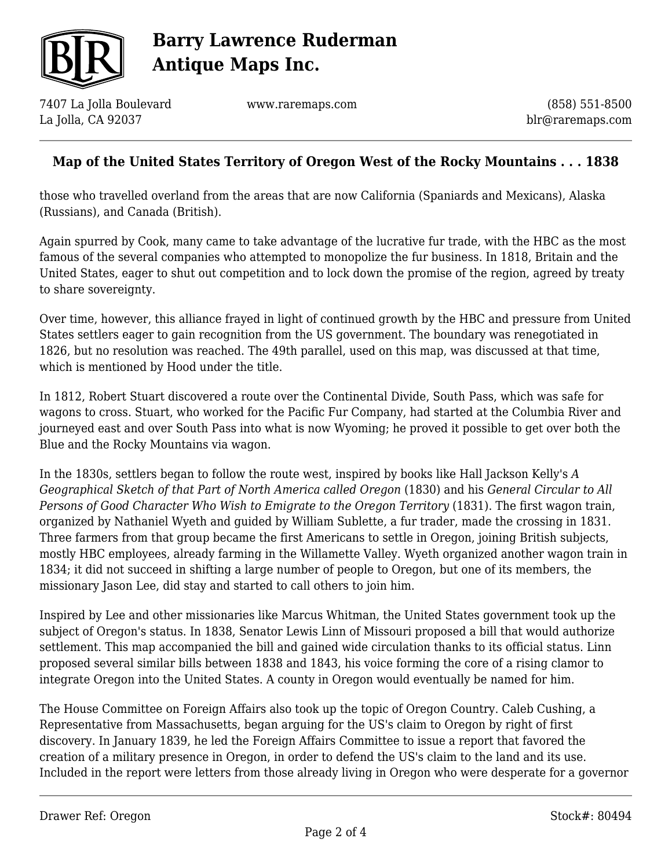

7407 La Jolla Boulevard La Jolla, CA 92037

www.raremaps.com

(858) 551-8500 blr@raremaps.com

## **Map of the United States Territory of Oregon West of the Rocky Mountains . . . 1838**

those who travelled overland from the areas that are now California (Spaniards and Mexicans), Alaska (Russians), and Canada (British).

Again spurred by Cook, many came to take advantage of the lucrative fur trade, with the HBC as the most famous of the several companies who attempted to monopolize the fur business. In 1818, Britain and the United States, eager to shut out competition and to lock down the promise of the region, agreed by treaty to share sovereignty.

Over time, however, this alliance frayed in light of continued growth by the HBC and pressure from United States settlers eager to gain recognition from the US government. The boundary was renegotiated in 1826, but no resolution was reached. The 49th parallel, used on this map, was discussed at that time, which is mentioned by Hood under the title.

In 1812, Robert Stuart discovered a route over the Continental Divide, South Pass, which was safe for wagons to cross. Stuart, who worked for the Pacific Fur Company, had started at the Columbia River and journeyed east and over South Pass into what is now Wyoming; he proved it possible to get over both the Blue and the Rocky Mountains via wagon.

In the 1830s, settlers began to follow the route west, inspired by books like Hall Jackson Kelly's *A Geographical Sketch of that Part of North America called Oregon* (1830) and his *General Circular to All Persons of Good Character Who Wish to Emigrate to the Oregon Territory* (1831). The first wagon train, organized by Nathaniel Wyeth and guided by William Sublette, a fur trader, made the crossing in 1831. Three farmers from that group became the first Americans to settle in Oregon, joining British subjects, mostly HBC employees, already farming in the Willamette Valley. Wyeth organized another wagon train in 1834; it did not succeed in shifting a large number of people to Oregon, but one of its members, the missionary Jason Lee, did stay and started to call others to join him.

Inspired by Lee and other missionaries like Marcus Whitman, the United States government took up the subject of Oregon's status. In 1838, Senator Lewis Linn of Missouri proposed a bill that would authorize settlement. This map accompanied the bill and gained wide circulation thanks to its official status. Linn proposed several similar bills between 1838 and 1843, his voice forming the core of a rising clamor to integrate Oregon into the United States. A county in Oregon would eventually be named for him.

The House Committee on Foreign Affairs also took up the topic of Oregon Country. Caleb Cushing, a Representative from Massachusetts, began arguing for the US's claim to Oregon by right of first discovery. In January 1839, he led the Foreign Affairs Committee to issue a report that favored the creation of a military presence in Oregon, in order to defend the US's claim to the land and its use. Included in the report were letters from those already living in Oregon who were desperate for a governor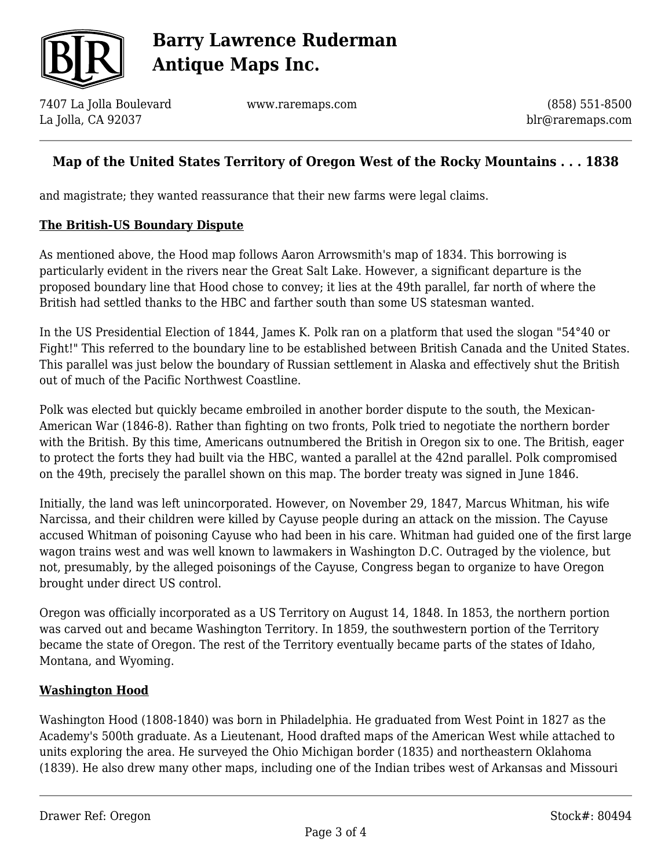

7407 La Jolla Boulevard La Jolla, CA 92037

www.raremaps.com

(858) 551-8500 blr@raremaps.com

## **Map of the United States Territory of Oregon West of the Rocky Mountains . . . 1838**

and magistrate; they wanted reassurance that their new farms were legal claims.

#### **The British-US Boundary Dispute**

As mentioned above, the Hood map follows Aaron Arrowsmith's map of 1834. This borrowing is particularly evident in the rivers near the Great Salt Lake. However, a significant departure is the proposed boundary line that Hood chose to convey; it lies at the 49th parallel, far north of where the British had settled thanks to the HBC and farther south than some US statesman wanted.

In the US Presidential Election of 1844, James K. Polk ran on a platform that used the slogan "54°40 or Fight!" This referred to the boundary line to be established between British Canada and the United States. This parallel was just below the boundary of Russian settlement in Alaska and effectively shut the British out of much of the Pacific Northwest Coastline.

Polk was elected but quickly became embroiled in another border dispute to the south, the Mexican-American War (1846-8). Rather than fighting on two fronts, Polk tried to negotiate the northern border with the British. By this time, Americans outnumbered the British in Oregon six to one. The British, eager to protect the forts they had built via the HBC, wanted a parallel at the 42nd parallel. Polk compromised on the 49th, precisely the parallel shown on this map. The border treaty was signed in June 1846.

Initially, the land was left unincorporated. However, on November 29, 1847, Marcus Whitman, his wife Narcissa, and their children were killed by Cayuse people during an attack on the mission. The Cayuse accused Whitman of poisoning Cayuse who had been in his care. Whitman had guided one of the first large wagon trains west and was well known to lawmakers in Washington D.C. Outraged by the violence, but not, presumably, by the alleged poisonings of the Cayuse, Congress began to organize to have Oregon brought under direct US control.

Oregon was officially incorporated as a US Territory on August 14, 1848. In 1853, the northern portion was carved out and became Washington Territory. In 1859, the southwestern portion of the Territory became the state of Oregon. The rest of the Territory eventually became parts of the states of Idaho, Montana, and Wyoming.

#### **Washington Hood**

Washington Hood (1808-1840) was born in Philadelphia. He graduated from West Point in 1827 as the Academy's 500th graduate. As a Lieutenant, Hood drafted maps of the American West while attached to units exploring the area. He surveyed the Ohio Michigan border (1835) and northeastern Oklahoma (1839). He also drew many other maps, including one of the Indian tribes west of Arkansas and Missouri